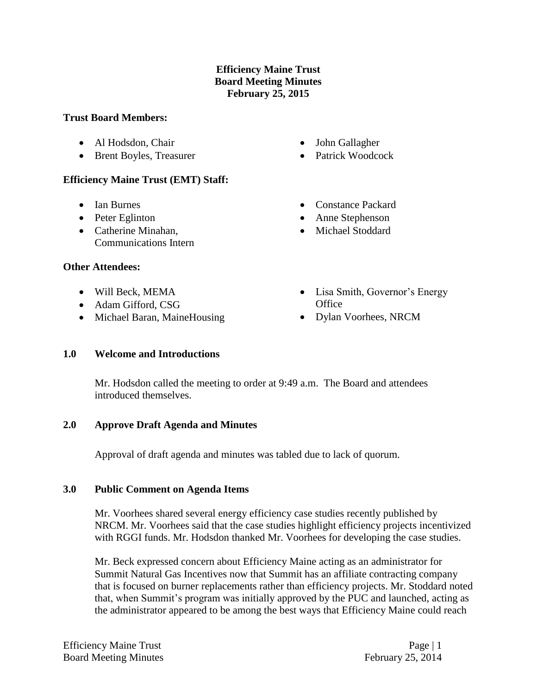# **Efficiency Maine Trust Board Meeting Minutes February 25, 2015**

### **Trust Board Members:**

- Al Hodsdon, Chair
- Brent Boyles, Treasurer

# **Efficiency Maine Trust (EMT) Staff:**

- Ian Burnes
- Peter Eglinton
- Catherine Minahan, Communications Intern

# **Other Attendees:**

- Will Beck, MEMA
- Adam Gifford, CSG
- Michael Baran, MaineHousing
- **1.0 Welcome and Introductions**
	- Mr. Hodsdon called the meeting to order at 9:49 a.m. The Board and attendees introduced themselves.

# **2.0 Approve Draft Agenda and Minutes**

Approval of draft agenda and minutes was tabled due to lack of quorum.

# **3.0 Public Comment on Agenda Items**

Mr. Voorhees shared several energy efficiency case studies recently published by NRCM. Mr. Voorhees said that the case studies highlight efficiency projects incentivized with RGGI funds. Mr. Hodsdon thanked Mr. Voorhees for developing the case studies.

Mr. Beck expressed concern about Efficiency Maine acting as an administrator for Summit Natural Gas Incentives now that Summit has an affiliate contracting company that is focused on burner replacements rather than efficiency projects. Mr. Stoddard noted that, when Summit's program was initially approved by the PUC and launched, acting as the administrator appeared to be among the best ways that Efficiency Maine could reach

- John Gallagher
- Patrick Woodcock
- Constance Packard
- Anne Stephenson
- Michael Stoddard
- Lisa Smith, Governor's Energy **Office**
- Dylan Voorhees, NRCM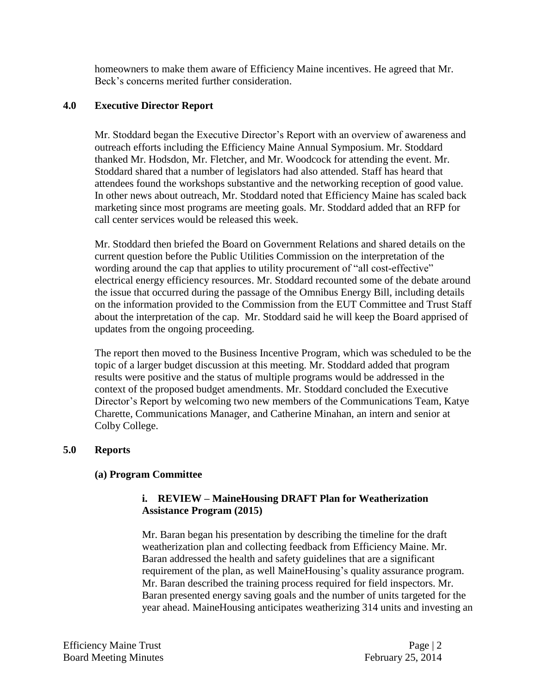homeowners to make them aware of Efficiency Maine incentives. He agreed that Mr. Beck's concerns merited further consideration.

### **4.0 Executive Director Report**

Mr. Stoddard began the Executive Director's Report with an overview of awareness and outreach efforts including the Efficiency Maine Annual Symposium. Mr. Stoddard thanked Mr. Hodsdon, Mr. Fletcher, and Mr. Woodcock for attending the event. Mr. Stoddard shared that a number of legislators had also attended. Staff has heard that attendees found the workshops substantive and the networking reception of good value. In other news about outreach, Mr. Stoddard noted that Efficiency Maine has scaled back marketing since most programs are meeting goals. Mr. Stoddard added that an RFP for call center services would be released this week.

Mr. Stoddard then briefed the Board on Government Relations and shared details on the current question before the Public Utilities Commission on the interpretation of the wording around the cap that applies to utility procurement of "all cost-effective" electrical energy efficiency resources. Mr. Stoddard recounted some of the debate around the issue that occurred during the passage of the Omnibus Energy Bill, including details on the information provided to the Commission from the EUT Committee and Trust Staff about the interpretation of the cap. Mr. Stoddard said he will keep the Board apprised of updates from the ongoing proceeding.

The report then moved to the Business Incentive Program, which was scheduled to be the topic of a larger budget discussion at this meeting. Mr. Stoddard added that program results were positive and the status of multiple programs would be addressed in the context of the proposed budget amendments. Mr. Stoddard concluded the Executive Director's Report by welcoming two new members of the Communications Team, Katye Charette, Communications Manager, and Catherine Minahan, an intern and senior at Colby College.

#### **5.0 Reports**

#### **(a) Program Committee**

### **i. REVIEW – MaineHousing DRAFT Plan for Weatherization Assistance Program (2015)**

Mr. Baran began his presentation by describing the timeline for the draft weatherization plan and collecting feedback from Efficiency Maine. Mr. Baran addressed the health and safety guidelines that are a significant requirement of the plan, as well MaineHousing's quality assurance program. Mr. Baran described the training process required for field inspectors. Mr. Baran presented energy saving goals and the number of units targeted for the year ahead. MaineHousing anticipates weatherizing 314 units and investing an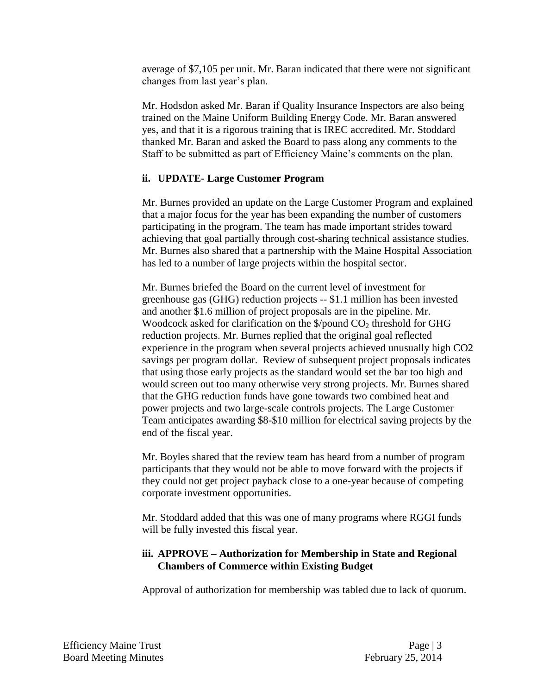average of \$7,105 per unit. Mr. Baran indicated that there were not significant changes from last year's plan.

Mr. Hodsdon asked Mr. Baran if Quality Insurance Inspectors are also being trained on the Maine Uniform Building Energy Code. Mr. Baran answered yes, and that it is a rigorous training that is IREC accredited. Mr. Stoddard thanked Mr. Baran and asked the Board to pass along any comments to the Staff to be submitted as part of Efficiency Maine's comments on the plan.

# **ii. UPDATE- Large Customer Program**

Mr. Burnes provided an update on the Large Customer Program and explained that a major focus for the year has been expanding the number of customers participating in the program. The team has made important strides toward achieving that goal partially through cost-sharing technical assistance studies. Mr. Burnes also shared that a partnership with the Maine Hospital Association has led to a number of large projects within the hospital sector.

Mr. Burnes briefed the Board on the current level of investment for greenhouse gas (GHG) reduction projects -- \$1.1 million has been invested and another \$1.6 million of project proposals are in the pipeline. Mr. Woodcock asked for clarification on the  $\frac{1}{2}$  /pound CO<sub>2</sub> threshold for GHG reduction projects. Mr. Burnes replied that the original goal reflected experience in the program when several projects achieved unusually high CO2 savings per program dollar. Review of subsequent project proposals indicates that using those early projects as the standard would set the bar too high and would screen out too many otherwise very strong projects. Mr. Burnes shared that the GHG reduction funds have gone towards two combined heat and power projects and two large-scale controls projects. The Large Customer Team anticipates awarding \$8-\$10 million for electrical saving projects by the end of the fiscal year.

Mr. Boyles shared that the review team has heard from a number of program participants that they would not be able to move forward with the projects if they could not get project payback close to a one-year because of competing corporate investment opportunities.

Mr. Stoddard added that this was one of many programs where RGGI funds will be fully invested this fiscal year.

### **iii. APPROVE – Authorization for Membership in State and Regional Chambers of Commerce within Existing Budget**

Approval of authorization for membership was tabled due to lack of quorum.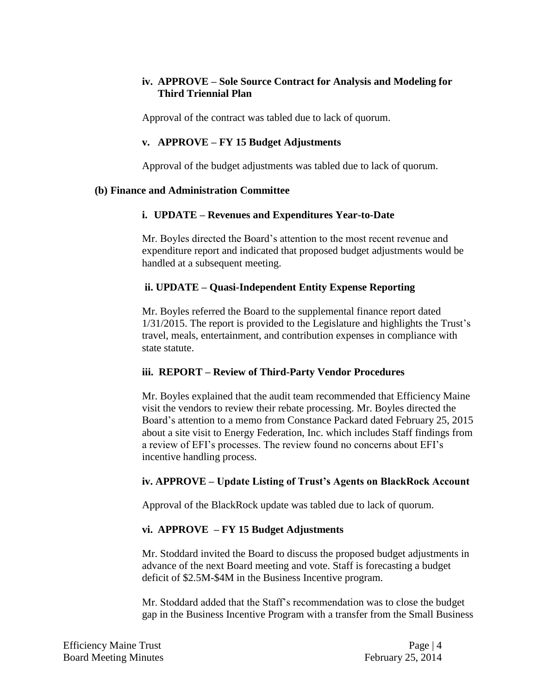# **iv. APPROVE – Sole Source Contract for Analysis and Modeling for Third Triennial Plan**

Approval of the contract was tabled due to lack of quorum.

### **v. APPROVE – FY 15 Budget Adjustments**

Approval of the budget adjustments was tabled due to lack of quorum.

### **(b) Finance and Administration Committee**

# **i. UPDATE – Revenues and Expenditures Year-to-Date**

Mr. Boyles directed the Board's attention to the most recent revenue and expenditure report and indicated that proposed budget adjustments would be handled at a subsequent meeting.

# **ii. UPDATE – Quasi-Independent Entity Expense Reporting**

Mr. Boyles referred the Board to the supplemental finance report dated 1/31/2015. The report is provided to the Legislature and highlights the Trust's travel, meals, entertainment, and contribution expenses in compliance with state statute.

# **iii. REPORT – Review of Third-Party Vendor Procedures**

Mr. Boyles explained that the audit team recommended that Efficiency Maine visit the vendors to review their rebate processing. Mr. Boyles directed the Board's attention to a memo from Constance Packard dated February 25, 2015 about a site visit to Energy Federation, Inc. which includes Staff findings from a review of EFI's processes. The review found no concerns about EFI's incentive handling process.

# **iv. APPROVE – Update Listing of Trust's Agents on BlackRock Account**

Approval of the BlackRock update was tabled due to lack of quorum.

#### **vi. APPROVE – FY 15 Budget Adjustments**

Mr. Stoddard invited the Board to discuss the proposed budget adjustments in advance of the next Board meeting and vote. Staff is forecasting a budget deficit of \$2.5M-\$4M in the Business Incentive program.

Mr. Stoddard added that the Staff's recommendation was to close the budget gap in the Business Incentive Program with a transfer from the Small Business